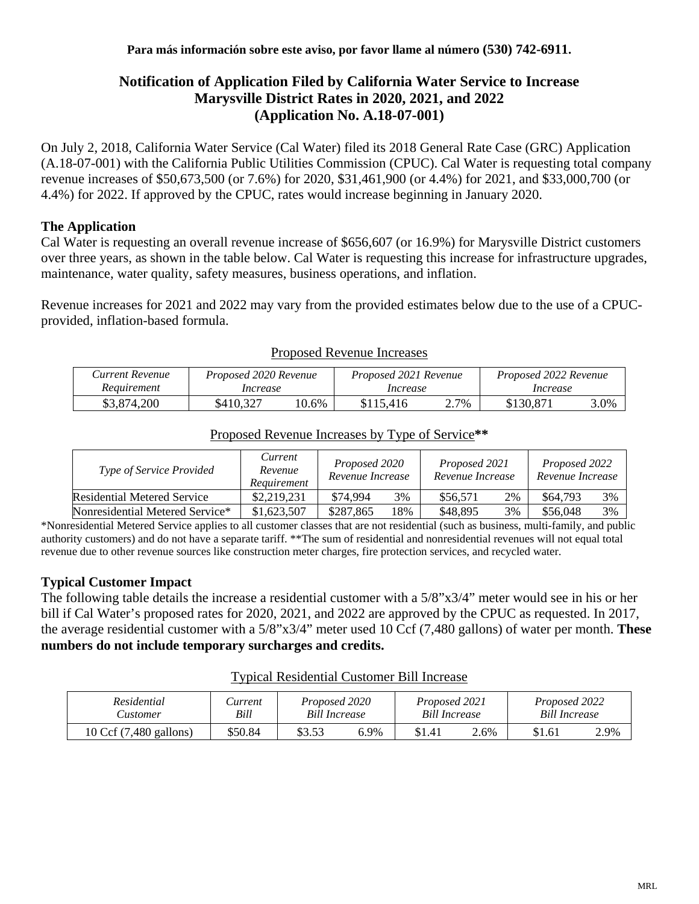# **Notification of Application Filed by California Water Service to Increase Marysville District Rates in 2020, 2021, and 2022 (Application No. A.18-07-001)**

On July 2, 2018, California Water Service (Cal Water) filed its 2018 General Rate Case (GRC) Application (A.18-07-001) with the California Public Utilities Commission (CPUC). Cal Water is requesting total company revenue increases of \$50,673,500 (or 7.6%) for 2020, \$31,461,900 (or 4.4%) for 2021, and \$33,000,700 (or 4.4%) for 2022. If approved by the CPUC, rates would increase beginning in January 2020.

## **The Application**

Cal Water is requesting an overall revenue increase of \$656,607 (or 16.9%) for Marysville District customers over three years, as shown in the table below. Cal Water is requesting this increase for infrastructure upgrades, maintenance, water quality, safety measures, business operations, and inflation.

Revenue increases for 2021 and 2022 may vary from the provided estimates below due to the use of a CPUCprovided, inflation-based formula.

| Current Revenue | Proposed 2020 Revenue |       | Proposed 2021 Revenue |      | Proposed 2022 Revenue |      |  |
|-----------------|-----------------------|-------|-----------------------|------|-----------------------|------|--|
| Reauirement     | Increase              |       | Increase              |      | Increase              |      |  |
| \$3,874,200     | \$410.327             | 10.6% | \$115.416             | 2.7% | \$130,871             | 3.0% |  |

#### Proposed Revenue Increases

| Type of Service Provided           | Current<br>Revenue<br>Requirement | Proposed 2020<br>Revenue Increase |     | Proposed 2021<br>Revenue Increase |    | Proposed 2022<br>Revenue Increase |    |
|------------------------------------|-----------------------------------|-----------------------------------|-----|-----------------------------------|----|-----------------------------------|----|
| <b>Residential Metered Service</b> | \$2,219,231                       | \$74,994                          | 3%  | \$56,571                          | 2% | \$64,793                          | 3% |
| Nonresidential Metered Service*    | \$1,623,507                       | \$287,865                         | 18% | \$48,895                          | 3% | \$56,048                          | 3% |

# Proposed Revenue Increases by Type of Service**\*\***

\*Nonresidential Metered Service applies to all customer classes that are not residential (such as business, multi-family, and public authority customers) and do not have a separate tariff. \*\*The sum of residential and nonresidential revenues will not equal total revenue due to other revenue sources like construction meter charges, fire protection services, and recycled water.

## **Typical Customer Impact**

The following table details the increase a residential customer with a 5/8"x3/4" meter would see in his or her bill if Cal Water's proposed rates for 2020, 2021, and 2022 are approved by the CPUC as requested. In 2017, the average residential customer with a 5/8"x3/4" meter used 10 Ccf (7,480 gallons) of water per month. **These numbers do not include temporary surcharges and credits.**

#### Typical Residential Customer Bill Increase

| Residential            | <i>surrent</i> | Proposed 2020        |      | Proposed 2021 |      | Proposed 2022 |  |
|------------------------|----------------|----------------------|------|---------------|------|---------------|--|
| <b>Lustomer</b>        | Bill           | <b>Bill Increase</b> |      | Bill Increase |      | Bill Increase |  |
| 10 Ccf (7,480 gallons) | \$50.84        | \$3.53               | 6.9% | \$1.4]        | 2.6% | \$1.61        |  |